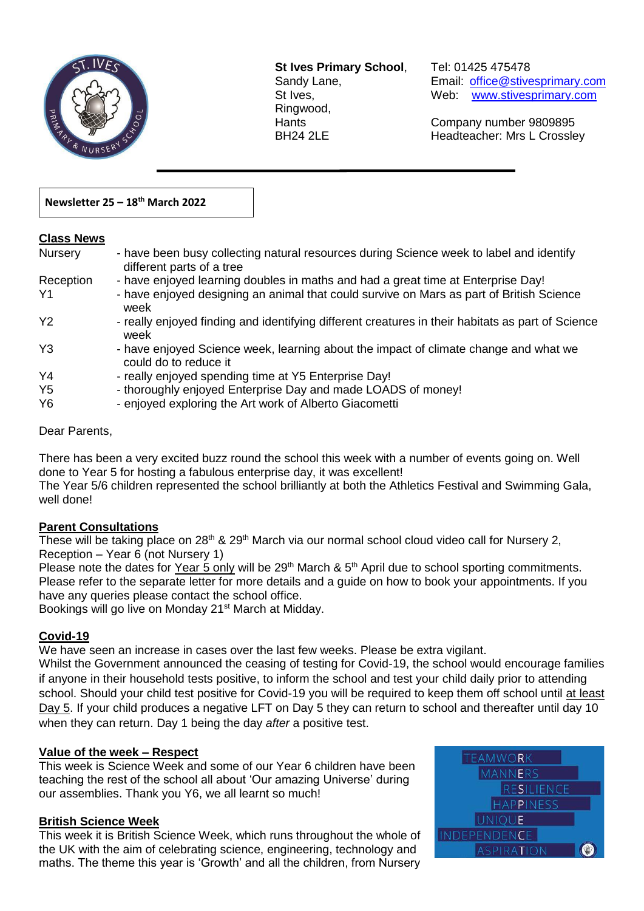

**St Ives Primary School**, Tel: 01425 475478 Ringwood,

 $\overline{a}$ 

Sandy Lane, Email: office@stivesprimary.com St Ives, [www.stivesprimary.com](http://www.stives.dorset.sch.uk/)

Hants Company number 9809895 BH24 2LE Headteacher: Mrs L Crossley

### **Newsletter 25 – 18 th March 2022**

#### **Class News**

| <b>Nursery</b> | - have been busy collecting natural resources during Science week to label and identify<br>different parts of a tree |
|----------------|----------------------------------------------------------------------------------------------------------------------|
| Reception      | - have enjoyed learning doubles in maths and had a great time at Enterprise Day!                                     |
| Υ1             | - have enjoyed designing an animal that could survive on Mars as part of British Science<br>week                     |
| Y2             | - really enjoyed finding and identifying different creatures in their habitats as part of Science<br>week            |
| Y <sub>3</sub> | - have enjoyed Science week, learning about the impact of climate change and what we<br>could do to reduce it        |
| Y4             | - really enjoyed spending time at Y5 Enterprise Day!                                                                 |
| Y <sub>5</sub> | - thoroughly enjoyed Enterprise Day and made LOADS of money!                                                         |
| Y6             | - enjoyed exploring the Art work of Alberto Giacometti                                                               |

#### Dear Parents,

There has been a very excited buzz round the school this week with a number of events going on. Well done to Year 5 for hosting a fabulous enterprise day, it was excellent! The Year 5/6 children represented the school brilliantly at both the Athletics Festival and Swimming Gala,

well done!

# **Parent Consultations**

These will be taking place on 28<sup>th</sup> & 29<sup>th</sup> March via our normal school cloud video call for Nursery 2, Reception – Year 6 (not Nursery 1)

Please note the dates for Year 5 only will be 29<sup>th</sup> March & 5<sup>th</sup> April due to school sporting commitments. Please refer to the separate letter for more details and a guide on how to book your appointments. If you have any queries please contact the school office.

Bookings will go live on Monday 21<sup>st</sup> March at Midday.

# **Covid-19**

We have seen an increase in cases over the last few weeks. Please be extra vigilant.

Whilst the Government announced the ceasing of testing for Covid-19, the school would encourage families if anyone in their household tests positive, to inform the school and test your child daily prior to attending school. Should your child test positive for Covid-19 you will be required to keep them off school until at least Day 5. If your child produces a negative LFT on Day 5 they can return to school and thereafter until day 10 when they can return. Day 1 being the day *after* a positive test.

# **Value of the week – Respect**

This week is Science Week and some of our Year 6 children have been teaching the rest of the school all about 'Our amazing Universe' during our assemblies. Thank you Y6, we all learnt so much!

# **British Science Week**

This week it is British Science Week, which runs throughout the whole of the UK with the aim of celebrating science, engineering, technology and maths. The theme this year is 'Growth' and all the children, from Nursery